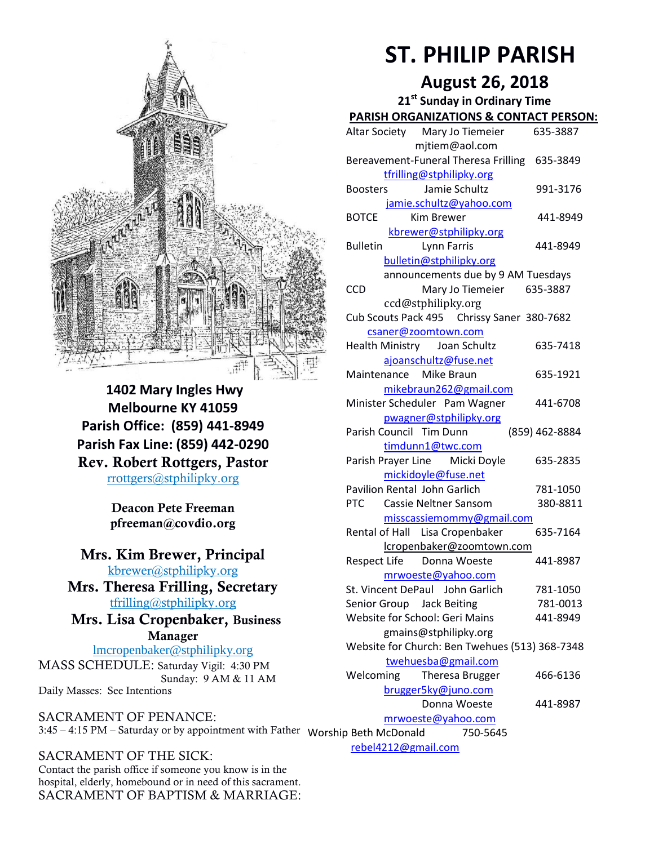

**1402 Mary Ingles Hwy Melbourne KY 41059 Parish Office: (859) 441-8949 Parish Fax Line: (859) 442-0290 Rev. Robert Rottgers, Pastor**  [rrottgers@stphilipky.org](mailto:rrottgers@stphilipky.org)

> **Deacon Pete Freeman pfreeman@covdio.org**

**Mrs. Kim Brewer, Principal**  [kbrewer@stphilipky.org](mailto:kbrewer@stphilipky.org)

**Mrs. Theresa Frilling, Secretary**  [tfrilling@stphilipky.org](mailto:tfrilling@stphilipky.org)

 **Mrs. Lisa Cropenbaker, Business Manager** 

lmcropenbaker@stphilipky.org MASS SCHEDULE: Saturday Vigil: 4:30 PM Sunday: 9 AM & 11 AM Daily Masses: See Intentions

SACRAMENT OF PENANCE: 3:45 – 4:15 PM – Saturday or by appointment with Father Worship Beth McDonald 750-5645

SACRAMENT OF THE SICK: Contact the parish office if someone you know is in the hospital, elderly, homebound or in need of this sacrament. SACRAMENT OF BAPTISM & MARRIAGE:

## **ST. PHILIP PARISH**

## **August 26, 2018**

| 21 <sup>st</sup> Sunday in Ordinary Time              |                |
|-------------------------------------------------------|----------------|
| <b>PARISH ORGANIZATIONS &amp; CONTACT PERSON:</b>     |                |
| Altar Society Mary Jo Tiemeier                        | 635-3887       |
| mjtiem@aol.com                                        |                |
| Bereavement-Funeral Theresa Frilling 635-3849         |                |
| tfrilling@stphilipky.org                              |                |
| Jamie Schultz<br><b>Boosters</b>                      | 991-3176       |
| jamie.schultz@yahoo.com                               |                |
| <b>BOTCE</b><br><b>Kim Brewer</b>                     | 441-8949       |
| kbrewer@stphilipky.org                                |                |
| <b>Bulletin</b><br>Lynn Farris                        | 441-8949       |
| bulletin@stphilipky.org                               |                |
| announcements due by 9 AM Tuesdays                    |                |
| <b>CCD</b><br>Mary Jo Tiemeier                        | 635-3887       |
| ccd@stphilipky.org                                    |                |
| Cub Scouts Pack 495 Chrissy Saner 380-7682            |                |
| csaner@zoomtown.com                                   |                |
| Health Ministry Joan Schultz                          | 635-7418       |
| ajoanschultz@fuse.net                                 |                |
| Maintenance Mike Braun                                | 635-1921       |
| mikebraun262@gmail.com                                |                |
| Minister Scheduler Pam Wagner                         | 441-6708       |
| pwagner@stphilipky.org                                |                |
| Parish Council Tim Dunn                               | (859) 462-8884 |
| timdunn1@twc.com                                      | 635-2835       |
| Parish Prayer Line Micki Doyle<br>mickidoyle@fuse.net |                |
| <b>Pavilion Rental John Garlich</b>                   | 781-1050       |
| <b>PTC</b><br>Cassie Neltner Sansom                   | 380-8811       |
| misscassiemommy@gmail.com                             |                |
| Rental of Hall Lisa Cropenbaker                       | 635-7164       |
| lcropenbaker@zoomtown.com                             |                |
| Respect Life Donna Woeste                             | 441-8987       |
| mrwoeste@yahoo.com                                    |                |
| St. Vincent DePaul John Garlich                       | 781-1050       |
| Senior Group Jack Beiting                             | 781-0013       |
| <b>Website for School: Geri Mains</b>                 | 441-8949       |
| gmains@stphilipky.org                                 |                |
| Website for Church: Ben Twehues (513) 368-7348        |                |
| twehuesba@gmail.com                                   |                |
| Welcoming<br>Theresa Brugger                          | 466-6136       |
| brugger5ky@juno.com                                   |                |
| Donna Woeste                                          | 441-8987       |
| mrwoeste@yahoo.com                                    |                |
| ip Beth McDonald 750-5645                             |                |

[rebel4212@gmail.com](mailto:trebel4212@gmail.com)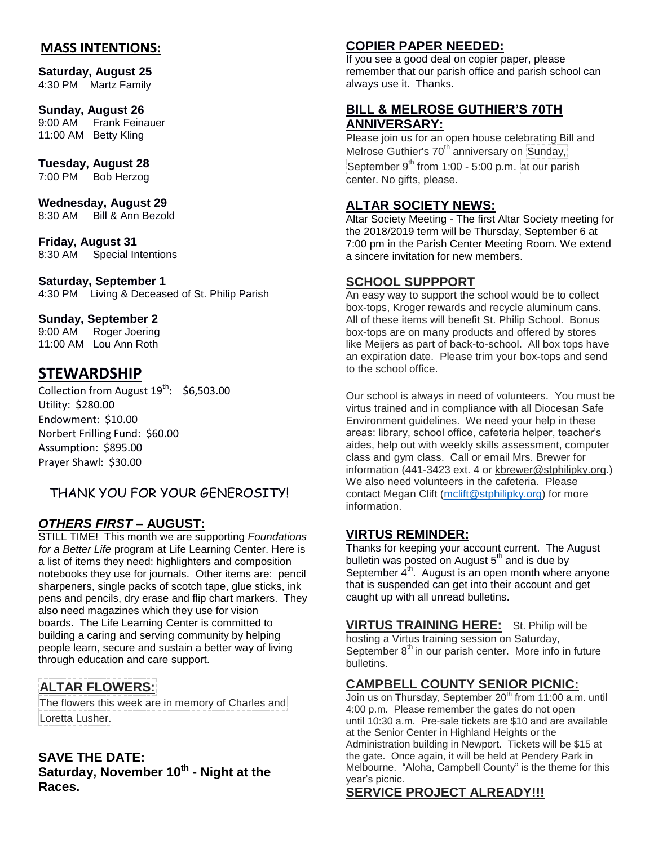## **MASS INTENTIONS:**

**Saturday, August 25**  4:30 PM Martz Family

#### **Sunday, August 26**

9:00 AM Frank Feinauer 11:00 AM Betty Kling

#### **Tuesday, August 28**

7:00 PM Bob Herzog

**Wednesday, August 29** 8:30 AM Bill & Ann Bezold

**Friday, August 31** 8:30 AM Special Intentions

**Saturday, September 1**  4:30 PM Living & Deceased of St. Philip Parish

#### **Sunday, September 2**

9:00 AM Roger Joering 11:00 AM Lou Ann Roth

## **STEWARDSHIP**

Collection from August 19<sup>th</sup>: \$6,503.00 Utility: \$280.00 Endowment: \$10.00 Norbert Frilling Fund: \$60.00 Assumption: \$895.00 Prayer Shawl: \$30.00

## THANK YOU FOR YOUR GENEROSITY!

#### *OTHERS FIRST* **– AUGUST:**

STILL TIME! This month we are supporting *Foundations for a Better Life* program at Life Learning Center. Here is a list of items they need: highlighters and composition notebooks they use for journals. Other items are: pencil sharpeners, single packs of scotch tape, glue sticks, ink pens and pencils, dry erase and flip chart markers. They also need magazines which they use for vision boards. The Life Learning Center is committed to building a caring and serving community by helping people learn, secure and sustain a better way of living through education and care support.

## **ALTAR FLOWERS:**

The flowers this week are in memory of Charles and Loretta Lusher.

#### **SAVE THE DATE:**

**Saturday, November 10th - Night at the Races.**

### **COPIER PAPER NEEDED:**

If you see a good deal on copier paper, please remember that our parish office and parish school can always use it. Thanks.

#### **BILL & MELROSE GUTHIER'S 70TH ANNIVERSARY:**

Please join us for an open house celebrating Bill and Melrose Guthier's 70<sup>th</sup> anniversary on Sunday,

September  $9<sup>th</sup>$  from 1:00 - 5:00 p.m. at our parish center. No gifts, please.

#### **ALTAR SOCIETY NEWS:**

Altar Society Meeting - The first Altar Society meeting for the 2018/2019 term will be Thursday, September 6 at 7:00 pm in the Parish Center Meeting Room. We extend a sincere invitation for new members.

#### **SCHOOL SUPPPORT**

An easy way to support the school would be to collect box-tops, Kroger rewards and recycle aluminum cans. All of these items will benefit St. Philip School. Bonus box-tops are on many products and offered by stores like Meijers as part of back-to-school. All box tops have an expiration date. Please trim your box-tops and send to the school office.

Our school is always in need of volunteers. You must be virtus trained and in compliance with all Diocesan Safe Environment guidelines. We need your help in these areas: library, school office, cafeteria helper, teacher's aides, help out with weekly skills assessment, computer class and gym class. Call or email Mrs. Brewer for information (441-3423 ext. 4 or [kbrewer@stphilipky.org.\)](mailto:kbrewer@stphilipky.org) We also need volunteers in the cafeteria. Please contact Megan Clift [\(mclift@stphilipky.org\)](mailto:mclift@stphilipky.org) for more information.

#### **VIRTUS REMINDER:**

Thanks for keeping your account current. The August bulletin was posted on August  $5<sup>th</sup>$  and is due by September  $4<sup>th</sup>$ . August is an open month where anyone that is suspended can get into their account and get caught up with all unread bulletins.

**VIRTUS TRAINING HERE:** St. Philip will be hosting a Virtus training session on Saturday, September  $8<sup>th</sup>$  in our parish center. More info in future bulletins.

#### **CAMPBELL COUNTY SENIOR PICNIC:**

Join us on Thursday, September 20<sup>th</sup> from 11:00 a.m. until 4:00 p.m. Please remember the gates do not open until 10:30 a.m. Pre-sale tickets are \$10 and are available at the Senior Center in Highland Heights or the Administration building in Newport. Tickets will be \$15 at the gate. Once again, it will be held at Pendery Park in Melbourne. "Aloha, Campbell County" is the theme for this year's picnic.

#### **SERVICE PROJECT ALREADY!!!**